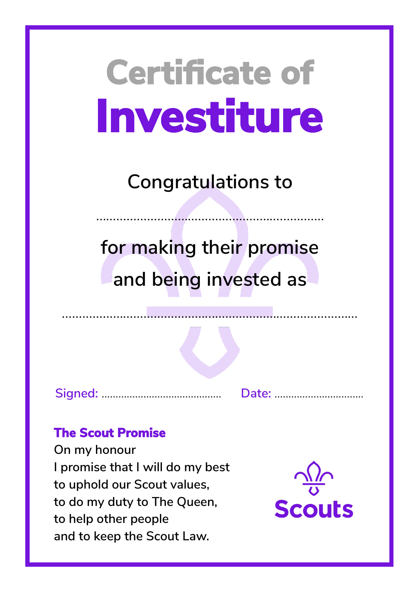**Congratulations to**

……………………………………………….…………

**for making their promise and being invested as**

**Signed:** ……………...……………………. **Date:** …………………....…….

## **The Scout Promise**

**On my honour I promise that I will do my best to uphold our Scout values, to do my duty to The Queen, to help other people and to keep the Scout Law.**

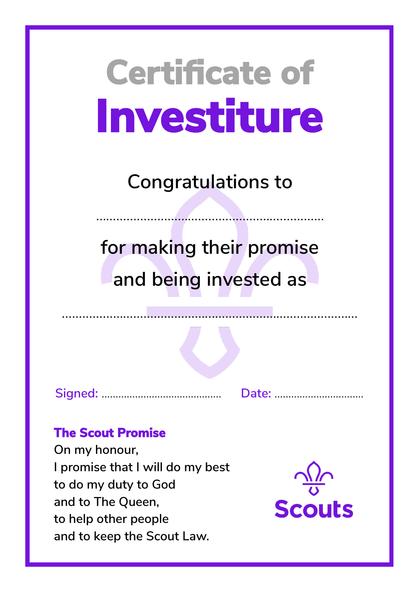**Congratulations to**

……………………………………………….…………

**for making their promise and being invested as**

**Signed:** ……………...……………………. **Date:** …………………....…….

### **The Scout Promise**

**On my honour, I promise that I will do my best to do my duty to God and to The Queen, to help other people and to keep the Scout Law.**

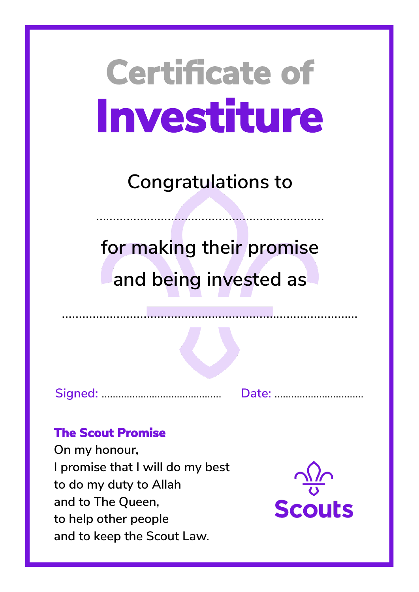**Congratulations to**

……………………………………………….…………

**for making their promise and being invested as**

**Signed:** ……………...……………………. **Date:** …………………....…….

### **The Scout Promise**

**On my honour, I promise that I will do my best to do my duty to Allah and to The Queen, to help other people and to keep the Scout Law.**

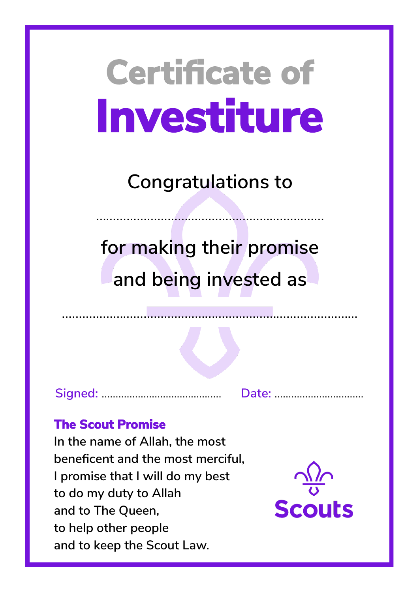**Congratulations to**

……………………………………………….…………

**for making their promise and being invested as**

**Signed:** ……………...……………………. **Date:** …………………....…….

## **The Scout Promise**

**In the name of Allah, the most beneficent and the most merciful, I promise that I will do my best to do my duty to Allah and to The Queen, to help other people and to keep the Scout Law.**

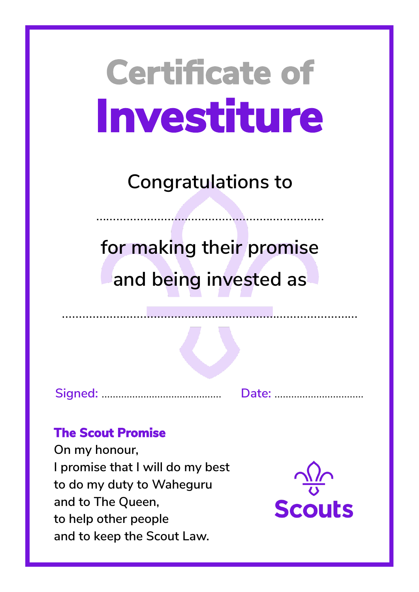**Congratulations to**

……………………………………………….…………

**for making their promise and being invested as**

**Signed:** ……………...……………………. **Date:** …………………....…….

### **The Scout Promise**

**On my honour, I promise that I will do my best to do my duty to Waheguru and to The Queen, to help other people and to keep the Scout Law.**

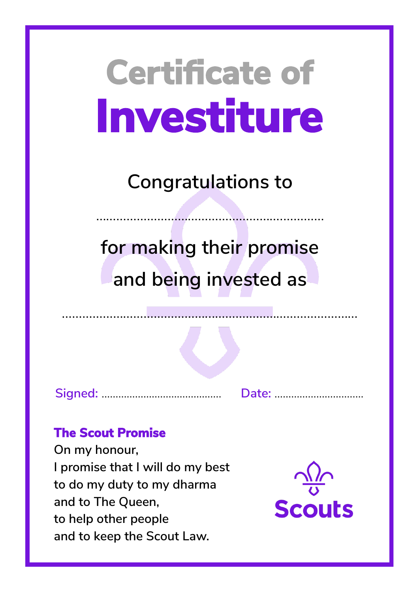**Congratulations to**

……………………………………………….…………

**for making their promise and being invested as**

**Signed:** ……………...……………………. **Date:** …………………....…….

### **The Scout Promise**

**On my honour, I promise that I will do my best to do my duty to my dharma and to The Queen, to help other people and to keep the Scout Law.**